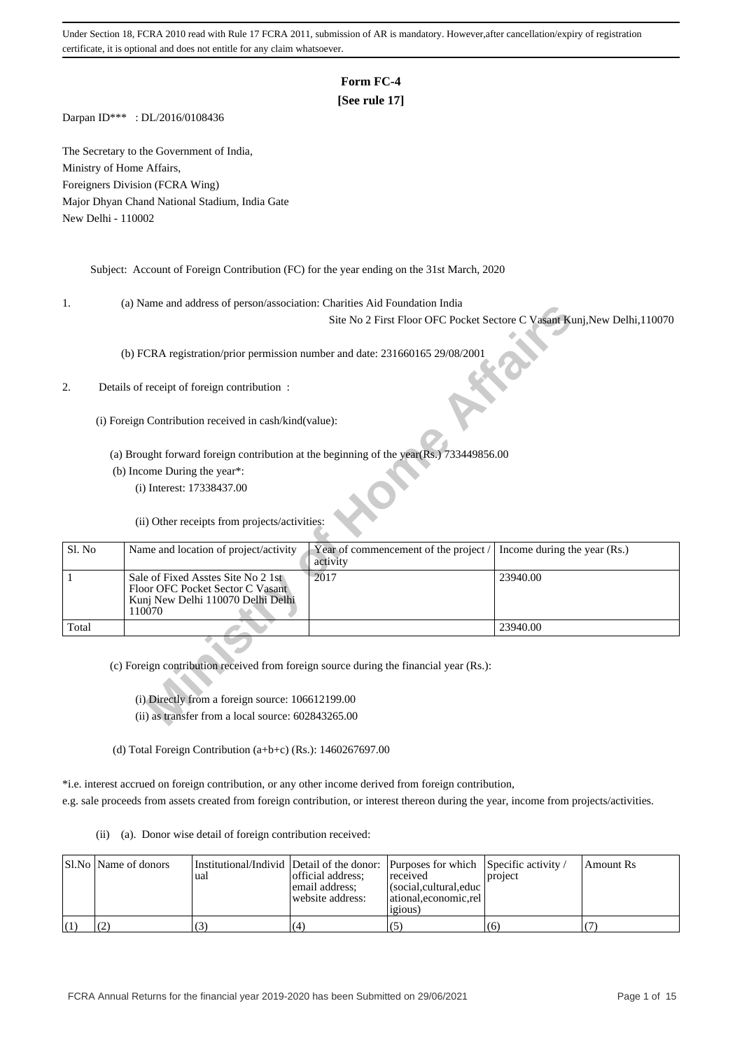# **Form FC-4**

# **[See rule 17]**

Darpan ID\*\*\* : DL/2016/0108436

The Secretary to the Government of India, Ministry of Home Affairs, Foreigners Division (FCRA Wing) Major Dhyan Chand National Stadium, India Gate New Delhi - 110002

Subject: Account of Foreign Contribution (FC) for the year ending on the 31st March, 2020

1. (a) Name and address of person/association: Charities Aid Foundation India

## 2. Details of receipt of foreign contribution :

| .,     | (a) ivalue and address of person/association. Charlies Ald Foundation multa            |                                                                                         |                                                                           |
|--------|----------------------------------------------------------------------------------------|-----------------------------------------------------------------------------------------|---------------------------------------------------------------------------|
|        |                                                                                        |                                                                                         | Site No 2 First Floor OFC Pocket Sectore C Vasant Kunj, New Delhi, 110070 |
|        |                                                                                        |                                                                                         |                                                                           |
|        | (b) FCRA registration/prior permission number and date: 231660165 29/08/2001           |                                                                                         |                                                                           |
|        |                                                                                        |                                                                                         |                                                                           |
| 2.     | Details of receipt of foreign contribution:                                            |                                                                                         |                                                                           |
|        |                                                                                        |                                                                                         |                                                                           |
|        | (i) Foreign Contribution received in cash/kind(value):                                 |                                                                                         |                                                                           |
|        |                                                                                        |                                                                                         |                                                                           |
|        |                                                                                        | (a) Brought forward foreign contribution at the beginning of the year(Rs.) 733449856.00 |                                                                           |
|        | (b) Income During the year*:                                                           |                                                                                         |                                                                           |
|        | (i) Interest: 17338437.00                                                              |                                                                                         |                                                                           |
|        |                                                                                        |                                                                                         |                                                                           |
|        | (ii) Other receipts from projects/activities:                                          |                                                                                         |                                                                           |
|        |                                                                                        |                                                                                         |                                                                           |
| Sl. No | Name and location of project/activity                                                  | Year of commencement of the project /                                                   | Income during the year (Rs.)                                              |
|        |                                                                                        | activity                                                                                |                                                                           |
| 1      | Sale of Fixed Asstes Site No 2 1st<br>Floor OFC Pocket Sector C Vasant                 | 2017                                                                                    | 23940.00                                                                  |
|        | Kunj New Delhi 110070 Delhi Delhi                                                      |                                                                                         |                                                                           |
|        | 110070                                                                                 |                                                                                         |                                                                           |
| Total  |                                                                                        |                                                                                         | 23940.00                                                                  |
|        |                                                                                        |                                                                                         |                                                                           |
|        | (c) Foreign contribution received from foreign source during the financial year (Rs.): |                                                                                         |                                                                           |
|        |                                                                                        |                                                                                         |                                                                           |
|        | (i) Directly from a foreign source: 106612199.00                                       |                                                                                         |                                                                           |
|        | (ii) as transfer from a local source: 602843265.00                                     |                                                                                         |                                                                           |
|        |                                                                                        |                                                                                         |                                                                           |

(d) Total Foreign Contribution (a+b+c) (Rs.): 1460267697.00

\*i.e. interest accrued on foreign contribution, or any other income derived from foreign contribution, e.g. sale proceeds from assets created from foreign contribution, or interest thereon during the year, income from projects/activities.

(ii) (a). Donor wise detail of foreign contribution received:

| SI.No   Name of donors | Institutional/Individ Detail of the donor: Purposes for which Specific activity /<br>'ual | official address:<br>email address:<br>website address: | received<br>l (social.cultural.educ  <br>  ational.economic.rel<br>1210US | project | Amount Rs |
|------------------------|-------------------------------------------------------------------------------------------|---------------------------------------------------------|---------------------------------------------------------------------------|---------|-----------|
|                        |                                                                                           | (4)                                                     | (5)                                                                       | (6)     |           |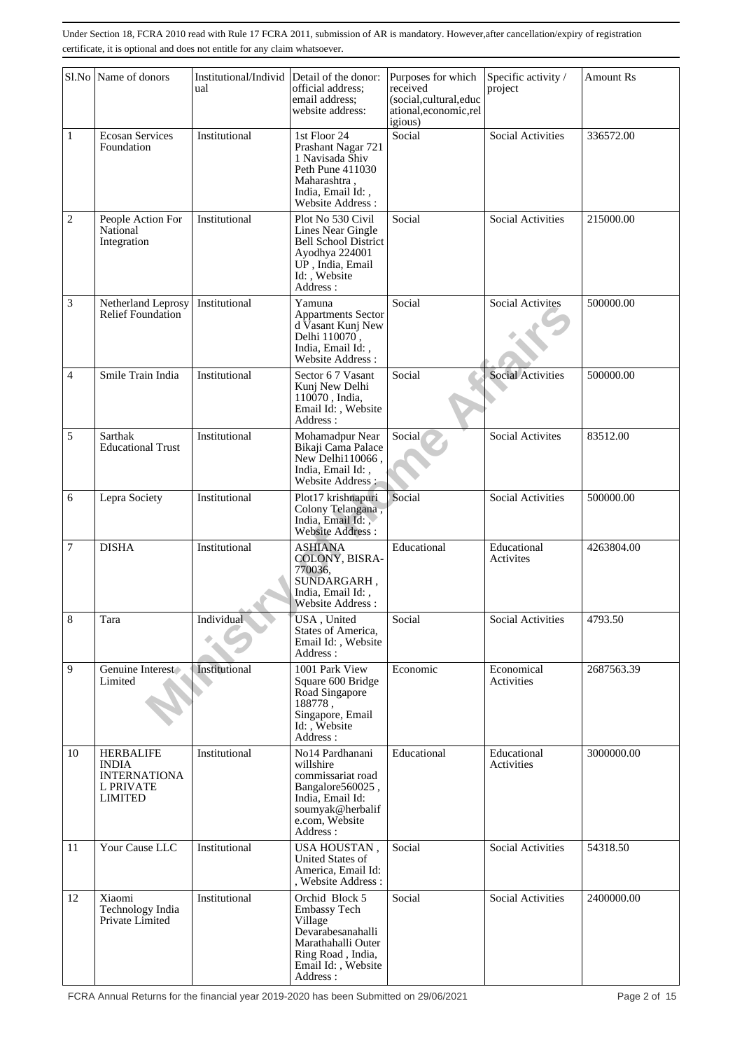|                | Sl.No Name of donors                                                            | Institutional/Individ<br>ual | Detail of the donor:<br>official address;<br>email address;<br>website address:                                                                    | Purposes for which<br>received<br>(social,cultural,educ<br>ational, economic, rel | Specific activity /<br>project | <b>Amount Rs</b> |
|----------------|---------------------------------------------------------------------------------|------------------------------|----------------------------------------------------------------------------------------------------------------------------------------------------|-----------------------------------------------------------------------------------|--------------------------------|------------------|
| $\mathbf{1}$   | <b>Ecosan Services</b><br>Foundation                                            | Institutional                | 1st Floor 24<br>Prashant Nagar 721<br>1 Navisada Shiv<br>Peth Pune 411030<br>Maharashtra,<br>India, Email Id:,<br><b>Website Address:</b>          | igious)<br>Social                                                                 | <b>Social Activities</b>       | 336572.00        |
| $\overline{c}$ | People Action For<br>National<br>Integration                                    | Institutional                | Plot No 530 Civil<br>Lines Near Gingle<br><b>Bell School District</b><br>Ayodhya 224001<br>UP, India, Email<br>Id: Website<br>Address:             | Social                                                                            | Social Activities              | 215000.00        |
| 3              | Netherland Leprosy<br><b>Relief Foundation</b>                                  | Institutional                | Yamuna<br><b>Appartments Sector</b><br>d Vasant Kunj New<br>Delhi 110070,<br>India, Email Id:,<br><b>Website Address:</b>                          | Social                                                                            | <b>Social Activites</b>        | 500000.00        |
| 4              | Smile Train India                                                               | Institutional                | Sector 6 7 Vasant<br>Kunj New Delhi<br>110070, India.<br>Email Id:, Website<br>Address:                                                            | Social                                                                            | <b>Social Activities</b>       | 500000.00        |
| 5              | Sarthak<br><b>Educational Trust</b>                                             | Institutional                | Mohamadpur Near<br>Bikaji Cama Palace<br>New Delhi110066,<br>India, Email Id:,<br>Website Address:                                                 | Social                                                                            | <b>Social Activites</b>        | 83512.00         |
| 6              | Lepra Society                                                                   | Institutional                | Plot17 krishnapuri<br>Colony Telangana,<br>India, Email Id:<br><b>Website Address:</b>                                                             | Social                                                                            | <b>Social Activities</b>       | 500000.00        |
| 7              | <b>DISHA</b>                                                                    | Institutional                | <b>ASHIANA</b><br>COLONY, BISRA-<br>770036.<br>SUNDARGARH,<br>India, Email Id:,<br>Website Address:                                                | Educational                                                                       | Educational<br>Activites       | 4263804.00       |
| $8\,$          | Tara                                                                            | Individual                   | USA, United<br>States of America,<br>Email Id:, Website<br>Address:                                                                                | Social                                                                            | Social Activities              | 4793.50          |
| 9              | Genuine Interest<br>Limited                                                     | Institutional                | 1001 Park View<br>Square 600 Bridge<br>Road Singapore<br>188778,<br>Singapore, Email<br>Id: Website<br>Address:                                    | Economic                                                                          | Economical<br>Activities       | 2687563.39       |
| 10             | <b>HERBALIFE</b><br><b>INDIA</b><br><b>INTERNATIONA</b><br>L PRIVATE<br>LIMITED | Institutional                | No14 Pardhanani<br>willshire<br>commissariat road<br>Bangalore560025,<br>India, Email Id:<br>soumyak@herbalif<br>e.com, Website<br>Address :       | Educational                                                                       | Educational<br>Activities      | 3000000.00       |
| 11             | Your Cause LLC                                                                  | Institutional                | USA HOUSTAN,<br>United States of<br>America, Email Id:<br>, Website Address :                                                                      | Social                                                                            | <b>Social Activities</b>       | 54318.50         |
| 12             | Xiaomi<br>Technology India<br>Private Limited                                   | Institutional                | Orchid Block 5<br><b>Embassy Tech</b><br>Village<br>Devarabesanahalli<br>Marathahalli Outer<br>Ring Road, India,<br>Email Id:, Website<br>Address: | Social                                                                            | <b>Social Activities</b>       | 2400000.00       |

FCRA Annual Returns for the financial year 2019-2020 has been Submitted on 29/06/2021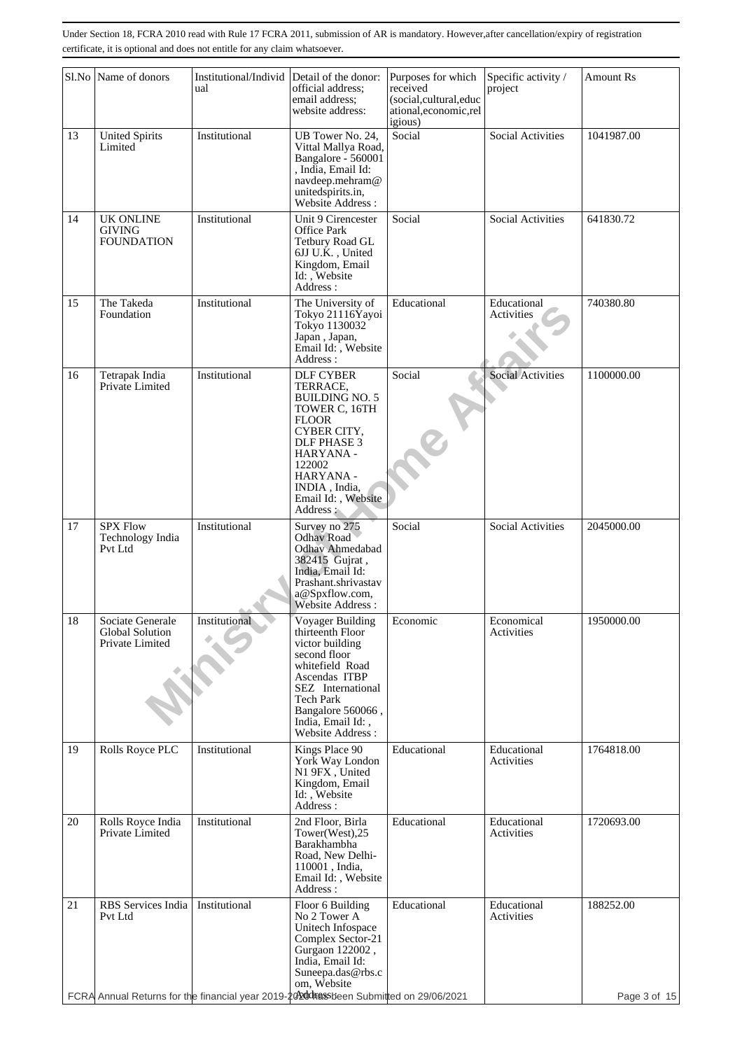|    | Sl.No Name of donors                                                                      | Institutional/Individ<br>ual | Detail of the donor:<br>official address;<br>email address;<br>website address:                                                                                                                                    | Purposes for which<br>received<br>(social,cultural,educ<br>ational, economic, rel<br>igious) | Specific activity /<br>project | <b>Amount Rs</b> |
|----|-------------------------------------------------------------------------------------------|------------------------------|--------------------------------------------------------------------------------------------------------------------------------------------------------------------------------------------------------------------|----------------------------------------------------------------------------------------------|--------------------------------|------------------|
| 13 | <b>United Spirits</b><br>Limited                                                          | Institutional                | UB Tower No. 24,<br>Vittal Mallya Road,<br>Bangalore - 560001<br>, India, Email Id:<br>navdeep.mehram@<br>unitedspirits.in,<br>Website Address:                                                                    | Social                                                                                       | <b>Social Activities</b>       | 1041987.00       |
| 14 | <b>UK ONLINE</b><br>GIVING<br><b>FOUNDATION</b>                                           | Institutional                | Unit 9 Cirencester<br><b>Office Park</b><br>Tetbury Road GL<br>6JJ U.K., United<br>Kingdom, Email<br>Id: , Website<br>Address:                                                                                     | Social                                                                                       | Social Activities              | 641830.72        |
| 15 | The Takeda<br>Foundation                                                                  | Institutional                | The University of<br>Tokyo 21116Yayoi<br>Tokyo 1130032<br>Japan, Japan,<br>Email Id:, Website<br>Address:                                                                                                          | Educational                                                                                  | Educational<br>Activities      | 740380.80        |
| 16 | Tetrapak India<br>Private Limited                                                         | Institutional                | <b>DLF CYBER</b><br>TERRACE,<br><b>BUILDING NO. 5</b><br>TOWER C, 16TH<br><b>FLOOR</b><br>CYBER CITY,<br>DLF PHASE 3<br>HARYANA -<br>122002<br>HARYANA -<br>INDIA, India,<br>Email Id:, Website<br>Address:        | Social                                                                                       | Social Activities              | 1100000.00       |
| 17 | <b>SPX Flow</b><br>Technology India<br>Pvt Ltd                                            | Institutional                | Survey no 275<br><b>Odhav Road</b><br><b>Odhav Ahmedabad</b><br>382415 Gujrat,<br>India, Email Id:<br>Prashant.shrivastav<br>a@Spxflow.com,<br>Website Address:                                                    | Social                                                                                       | <b>Social Activities</b>       | 2045000.00       |
| 18 | Sociate Generale<br>Global Solution<br>Private Limited                                    | Institutional                | Voyager Building<br>thirteenth Floor<br>victor building<br>second floor<br>whitefield Road<br>Ascendas ITBP<br>SEZ International<br>Tech Park<br>Bangalore 560066,<br>India, Email Id:,<br><b>Website Address:</b> | Economic                                                                                     | Economical<br>Activities       | 1950000.00       |
| 19 | Rolls Royce PLC                                                                           | Institutional                | Kings Place 90<br>York Way London<br>N1 9FX, United<br>Kingdom, Email<br>Id:, Website<br>Address:                                                                                                                  | Educational                                                                                  | Educational<br>Activities      | 1764818.00       |
| 20 | Rolls Royce India<br>Private Limited                                                      | Institutional                | 2nd Floor, Birla<br>Tower(West), 25<br>Barakhambha<br>Road, New Delhi-<br>110001, India,<br>Email Id:, Website<br>Address:                                                                                         | Educational                                                                                  | Educational<br>Activities      | 1720693.00       |
| 21 | RBS Services India<br>Pvt Ltd                                                             | Institutional                | Floor 6 Building<br>No 2 Tower A<br>Unitech Infospace<br>Complex Sector-21<br>Gurgaon 122002,<br>India, Email Id:<br>Suneepa.das@rbs.c<br>om, Website                                                              | Educational                                                                                  | Educational<br>Activities      | 188252.00        |
|    | FCRA Annual Returns for the financial year 2019-20 20 doings been Submitted on 29/06/2021 |                              |                                                                                                                                                                                                                    |                                                                                              |                                | Page 3 of 15     |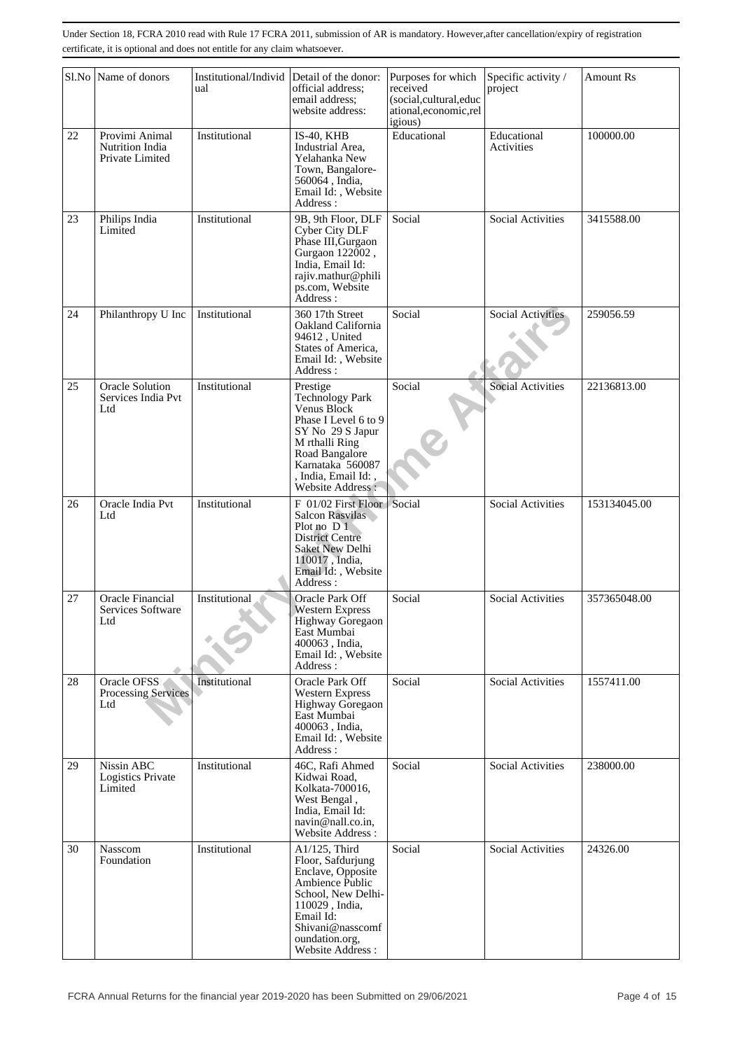|    | Sl.No Name of donors                                 | Institutional/Individ<br>ual | Detail of the donor:<br>official address;<br>email address:<br>website address:                                                                                                           | Purposes for which<br>received<br>(social,cultural,educ<br>ational, economic, rel<br>igious) | Specific activity /<br>project | <b>Amount Rs</b> |
|----|------------------------------------------------------|------------------------------|-------------------------------------------------------------------------------------------------------------------------------------------------------------------------------------------|----------------------------------------------------------------------------------------------|--------------------------------|------------------|
| 22 | Provimi Animal<br>Nutrition India<br>Private Limited | Institutional                | $IS-40$ , $KHB$<br>Industrial Area.<br>Yelahanka New<br>Town, Bangalore-<br>560064, India,<br>Email Id:, Website<br>Address:                                                              | Educational                                                                                  | Educational<br>Activities      | 100000.00        |
| 23 | Philips India<br>Limited                             | Institutional                | 9B, 9th Floor, DLF<br>Cyber City DLF<br>Phase III, Gurgaon<br>Gurgaon 122002,<br>India, Email Id:<br>rajiv.mathur@phili<br>ps.com, Website<br>Address:                                    | Social                                                                                       | Social Activities              | 3415588.00       |
| 24 | Philanthropy U Inc                                   | Institutional                | 360 17th Street<br>Oakland California<br>94612, United<br>States of America,<br>Email Id:, Website<br>Address:                                                                            | Social                                                                                       | Social Activities              | 259056.59        |
| 25 | <b>Oracle Solution</b><br>Services India Pvt<br>Ltd  | Institutional                | Prestige<br>Technology Park<br>Venus Block<br>Phase I Level 6 to 9<br>SY No 29 S Japur<br>M rthalli Ring<br>Road Bangalore<br>Karnataka 560087<br>, India, Email Id:<br>Website Address:  | Social                                                                                       | <b>Social Activities</b>       | 22136813.00      |
| 26 | Oracle India Pvt<br>Ltd                              | Institutional                | F 01/02 First Floor<br>Salcon Rasvilas<br>Plot no D 1<br><b>District Centre</b><br>Saket New Delhi<br>110017, India,<br>Email Id:, Website<br>Address:                                    | Social                                                                                       | <b>Social Activities</b>       | 153134045.00     |
| 27 | Oracle Financial<br>Services Software<br>Ltd         | Institutional                | Oracle Park Off<br><b>Western Express</b><br>Highway Goregaon<br>East Mumbai<br>400063, India,<br>Email Id:, Website<br>Address:                                                          | Social                                                                                       | <b>Social Activities</b>       | 357365048.00     |
| 28 | Oracle OFSS<br><b>Processing Services</b><br>Ltd     | Institutional                | Oracle Park Off<br><b>Western Express</b><br>Highway Goregaon<br>East Mumbai<br>400063, India.<br>Email Id:, Website<br>Address:                                                          | Social                                                                                       | <b>Social Activities</b>       | 1557411.00       |
| 29 | Nissin ABC<br><b>Logistics Private</b><br>Limited    | Institutional                | 46C, Rafi Ahmed<br>Kidwai Road,<br>Kolkata-700016,<br>West Bengal,<br>India, Email Id:<br>navin@nall.co.in,<br>Website Address:                                                           | Social                                                                                       | <b>Social Activities</b>       | 238000.00        |
| 30 | Nasscom<br>Foundation                                | Institutional                | A1/125, Third<br>Floor, Safdurjung<br>Enclave, Opposite<br>Ambience Public<br>School, New Delhi-<br>110029, India,<br>Email Id:<br>Shivani@nasscomf<br>oundation.org,<br>Website Address: | Social                                                                                       | <b>Social Activities</b>       | 24326.00         |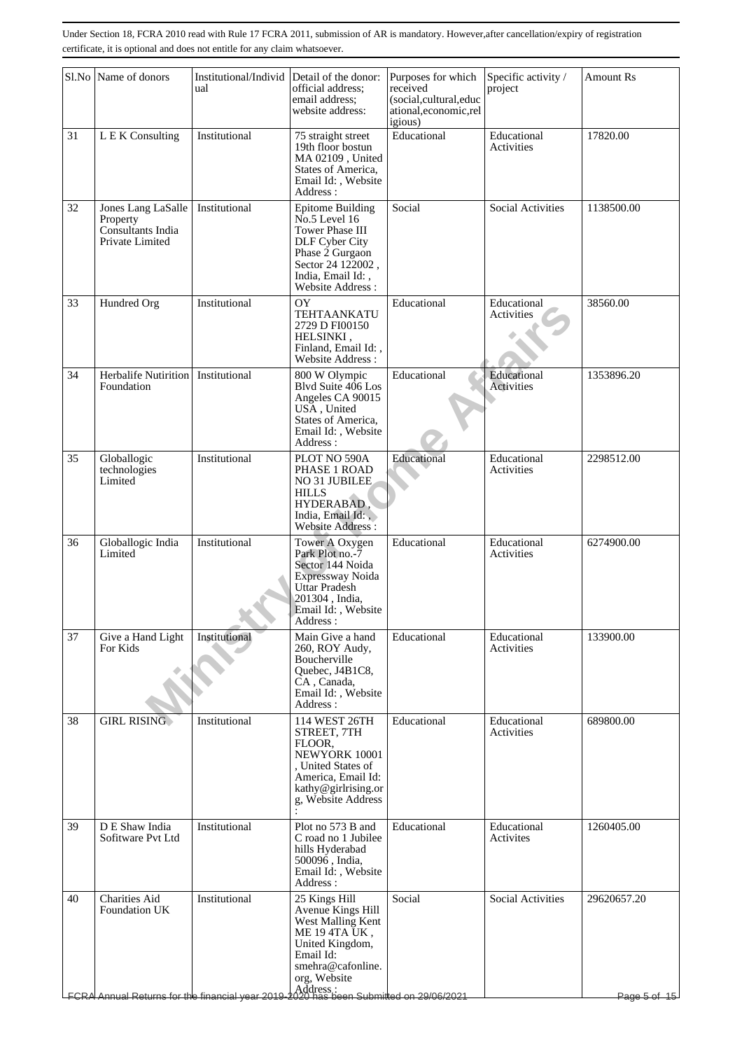|    | Sl.No Name of donors                                                                                                                             | Institutional/Individ<br>ual | Detail of the donor:<br>official address;<br>email address;<br>website address:                                                                                  | Purposes for which<br>received<br>(social,cultural,educ<br>ational,economic,rel<br>igious) | Specific activity /<br>project   | <b>Amount Rs</b>            |
|----|--------------------------------------------------------------------------------------------------------------------------------------------------|------------------------------|------------------------------------------------------------------------------------------------------------------------------------------------------------------|--------------------------------------------------------------------------------------------|----------------------------------|-----------------------------|
| 31 | L E K Consulting                                                                                                                                 | Institutional                | 75 straight street<br>19th floor bostun<br>MA 02109, United<br>States of America,<br>Email Id:, Website<br>Address:                                              | Educational                                                                                | Educational<br>Activities        | 17820.00                    |
| 32 | Jones Lang LaSalle<br>Property<br>Consultants India<br>Private Limited                                                                           | Institutional                | <b>Epitome Building</b><br>$No.5$ Level 16<br>Tower Phase III<br>DLF Cyber City<br>Phase 2 Gurgaon<br>Sector 24 122002,<br>India, Email Id:,<br>Website Address: | Social                                                                                     | Social Activities                | 1138500.00                  |
| 33 | Hundred Org                                                                                                                                      | Institutional                | OY<br><b>TEHTAANKATU</b><br>2729 D FI00150<br>HELSINKI,<br>Finland, Email Id:,<br>Website Address:                                                               | Educational                                                                                | Educational<br>Activities        | 38560.00                    |
| 34 | Herbalife Nutirition   Institutional<br>Foundation                                                                                               |                              | 800 W Olympic<br>Blvd Suite 406 Los<br>Angeles CA 90015<br>USA, United<br>States of America,<br>Email Id:, Website<br>Address:                                   | Educational                                                                                | Educational<br>Activities        | 1353896.20                  |
| 35 | Globallogic<br>technologies<br>Limited                                                                                                           | Institutional                | PLOT NO 590A<br>PHASE 1 ROAD<br>NO 31 JUBILEE<br><b>HILLS</b><br>HYDERABAD,<br>India, Email Id:<br>Website Address:                                              | Educational                                                                                | Educational<br>Activities        | 2298512.00                  |
| 36 | Globallogic India<br>Limited                                                                                                                     | Institutional                | Tower A Oxygen<br>Park Plot no.-7<br>Sector 144 Noida<br>Expressway Noida<br>Uttar Pradesh<br>201304, India,<br>Email Id:, Website<br>Address :                  | Educational                                                                                | Educational<br>Activities        | 6274900.00                  |
| 37 | Give a Hand Light<br>For Kids                                                                                                                    | Institutional                | Main Give a hand<br>260, ROY Audy,<br>Boucherville<br>Quebec, J4B1C8,<br>CA, Canada,<br>Email Id:, Website<br>Address:                                           | Educational                                                                                | Educational<br>Activities        | 133900.00                   |
| 38 | <b>GIRL RISING</b>                                                                                                                               | Institutional                | 114 WEST 26TH<br>STREET, 7TH<br>FLOOR.<br>NEWYORK 10001<br>, United States of<br>America, Email Id:<br>kathy@girlrising.or<br>g, Website Address                 | Educational                                                                                | Educational<br><b>Activities</b> | 689800.00                   |
| 39 | D E Shaw India<br>Sofitware Pvt Ltd                                                                                                              | Institutional                | Plot no 573 B and<br>C road no 1 Jubilee<br>hills Hyderabad<br>500096, India,<br>Email Id:, Website<br>Address:                                                  | Educational                                                                                | Educational<br>Activites         | 1260405.00                  |
| 40 | Charities Aid<br><b>Foundation UK</b><br>  Address :<br>  Address : experiment and the financial year 2019-2020 has been Submitted on 29/06/2021 | Institutional                | 25 Kings Hill<br>Avenue Kings Hill<br>West Malling Kent<br>ME 194TA UK,<br>United Kingdom,<br>Email Id:<br>smehra@cafonline.<br>org, Website                     | Social                                                                                     | Social Activities                | 29620657.20<br>Page 5 of 15 |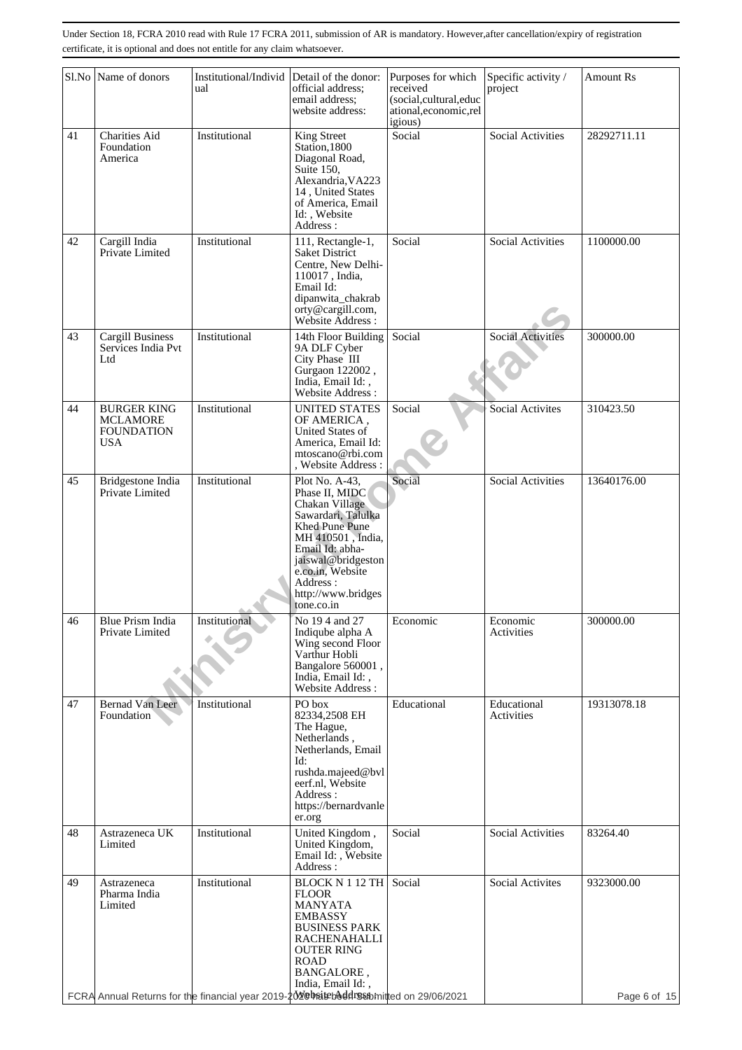|    | Sl.No Name of donors                                              | Institutional/Individ<br>ual                                                                               | Detail of the donor:<br>official address;<br>email address;<br>website address:                                                                                                                                              | Purposes for which<br>received<br>(social,cultural,educ<br>ational, economic, rel<br>igious) | Specific activity /<br>project | <b>Amount Rs</b> |
|----|-------------------------------------------------------------------|------------------------------------------------------------------------------------------------------------|------------------------------------------------------------------------------------------------------------------------------------------------------------------------------------------------------------------------------|----------------------------------------------------------------------------------------------|--------------------------------|------------------|
| 41 | <b>Charities Aid</b><br>Foundation<br>America                     | Institutional                                                                                              | King Street<br>Station, 1800<br>Diagonal Road,<br>Suite 150,<br>Alexandria, VA223<br>14, United States<br>of America, Email<br>Id:, Website<br>Address :                                                                     | Social                                                                                       | <b>Social Activities</b>       | 28292711.11      |
| 42 | Cargill India<br>Private Limited                                  | Institutional                                                                                              | 111, Rectangle-1,<br><b>Saket District</b><br>Centre, New Delhi-<br>110017, India,<br>Email Id:<br>dipanwita_chakrab<br>orty@cargill.com,<br>Website Address :                                                               | Social                                                                                       | <b>Social Activities</b>       | 1100000.00       |
| 43 | <b>Cargill Business</b><br>Services India Pvt<br>Ltd              | Institutional                                                                                              | 14th Floor Building<br>9A DLF Cyber<br>City Phase III<br>Gurgaon 122002,<br>India. Email Id: .<br>Website Address:                                                                                                           | Social                                                                                       | <b>Social Activities</b>       | 300000.00        |
| 44 | <b>BURGER KING</b><br><b>MCLAMORE</b><br><b>FOUNDATION</b><br>USA | Institutional                                                                                              | <b>UNITED STATES</b><br>OF AMERICA,<br>United States of<br>America, Email Id:<br>mtoscano@rbi.com<br>, Website Address:                                                                                                      | Social                                                                                       | Social Activites               | 310423.50        |
| 45 | Bridgestone India<br>Private Limited                              | Institutional                                                                                              | Plot No. A-43,<br>Phase II, MIDC<br>Chakan Village<br>Sawardari, Talulka<br>Khed Pune Pune<br>MH 410501, India,<br>Email Id: abha-<br>jaiswal@bridgeston<br>e.co.in, Website<br>Address:<br>http://www.bridges<br>tone.co.in | Social                                                                                       | <b>Social Activities</b>       | 13640176.00      |
| 46 | Blue Prism India<br>Private Limited                               | Institutional                                                                                              | No 194 and 27<br>Indiqube alpha A<br>Wing second Floor<br>Varthur Hobli<br>Bangalore 560001,<br>India, Email Id:,<br><b>Website Address:</b>                                                                                 | Economic                                                                                     | Economic<br>Activities         | 300000.00        |
| 47 | Bernad Van Leer<br>Foundation                                     | Institutional                                                                                              | PO box<br>82334,2508 EH<br>The Hague,<br>Netherlands,<br>Netherlands, Email<br>Id:<br>rushda.majeed@bvl<br>eerf.nl, Website<br>Address:<br>https://bernardvanle<br>er.org                                                    | Educational                                                                                  | Educational<br>Activities      | 19313078.18      |
| 48 | Astrazeneca UK<br>Limited                                         | Institutional                                                                                              | United Kingdom,<br>United Kingdom,<br>Email Id:, Website<br>Address:                                                                                                                                                         | Social                                                                                       | <b>Social Activities</b>       | 83264.40         |
| 49 | Astrazeneca<br>Pharma India<br>Limited                            | Institutional<br>FCRA Annual Returns for the financial year 2019-20 Vebrate baddress bmitted on 29/06/2021 | <b>BLOCK N 1 12 TH</b><br><b>FLOOR</b><br><b>MANYATA</b><br><b>EMBASSY</b><br><b>BUSINESS PARK</b><br><b>RACHENAHALLI</b><br><b>OUTER RING</b><br><b>ROAD</b><br>BANGALORE,<br>India, Email Id:,                             | Social                                                                                       | Social Activites               | 9323000.00       |
|    |                                                                   |                                                                                                            |                                                                                                                                                                                                                              |                                                                                              |                                | Page 6 of 15     |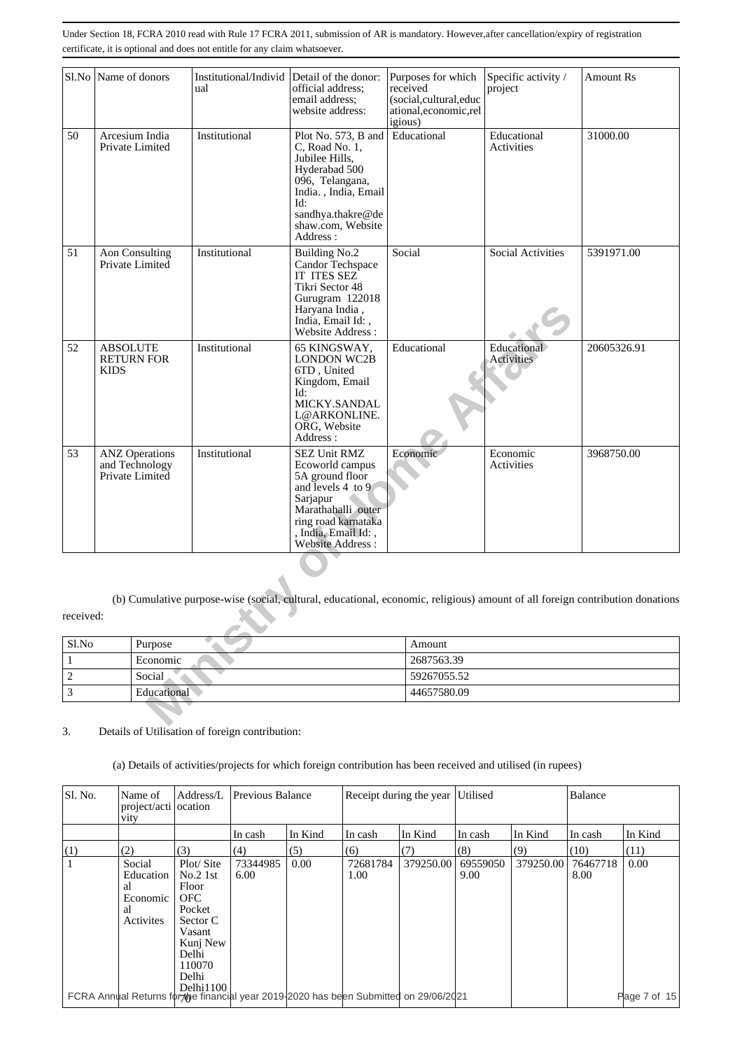| Sl.No                                         | Name of donors                                             |                       | Institutional/Individ<br>ual | Detail of the donor:<br>official address:<br>email address:<br>website address:                                                                                                           | Purposes for which<br>received<br>(social,cultural,educ<br>ational,economic,rel<br>igious) | Specific activity /<br>project   | <b>Amount Rs</b>                                                                                                              |  |  |
|-----------------------------------------------|------------------------------------------------------------|-----------------------|------------------------------|-------------------------------------------------------------------------------------------------------------------------------------------------------------------------------------------|--------------------------------------------------------------------------------------------|----------------------------------|-------------------------------------------------------------------------------------------------------------------------------|--|--|
| 50                                            | Arcesium India<br>Private Limited                          |                       | Institutional                | Plot No. 573, B and<br>C, Road No. 1,<br>Jubilee Hills,<br>Hyderabad 500<br>096, Telangana,<br>India., India, Email<br>Id:<br>sandhya.thakre@de<br>shaw.com, Website<br>Address:          | Educational                                                                                | Educational<br>Activities        | 31000.00                                                                                                                      |  |  |
| 51                                            | <b>Aon Consulting</b><br>Private Limited                   |                       | Institutional                | <b>Building No.2</b><br>Candor Techspace<br>IT ITES SEZ<br>Tikri Sector 48<br>Gurugram 122018<br>Haryana India,<br>India, Email Id:,<br>Website Address:                                  | Social                                                                                     | Social Activities                | 5391971.00                                                                                                                    |  |  |
| 52                                            | <b>ABSOLUTE</b><br><b>RETURN FOR</b><br><b>KIDS</b>        |                       | Institutional                | 65 KINGSWAY,<br><b>LONDON WC2B</b><br>6TD, United<br>Kingdom, Email<br>Id:<br>MICKY.SANDAL<br>L@ARKONLINE.<br>ORG, Website<br>Address:                                                    | Educational                                                                                | Educational<br><b>Activities</b> | 20605326.91                                                                                                                   |  |  |
| 53                                            | <b>ANZ</b> Operations<br>and Technology<br>Private Limited |                       | Institutional                | <b>SEZ Unit RMZ</b><br>Ecoworld campus<br>5A ground floor<br>and levels 4 to 9<br>Sarjapur<br>Marathahalli outer<br>ring road karnataka<br>, India, Email Id:,<br><b>Website Address:</b> | Economic                                                                                   | Economic<br>Activities           | 3968750.00                                                                                                                    |  |  |
| received:                                     |                                                            |                       |                              |                                                                                                                                                                                           |                                                                                            |                                  | (b) Cumulative purpose-wise (social, cultural, educational, economic, religious) amount of all foreign contribution donations |  |  |
|                                               |                                                            |                       |                              |                                                                                                                                                                                           |                                                                                            |                                  |                                                                                                                               |  |  |
| $\ensuremath{\mathrm{S}}\xspace$ l.<br>No     |                                                            | Purpose               |                              |                                                                                                                                                                                           | Amount                                                                                     |                                  |                                                                                                                               |  |  |
| $\mathbf{1}$                                  |                                                            | Economic              |                              |                                                                                                                                                                                           | 2687563.39                                                                                 |                                  |                                                                                                                               |  |  |
| $\boldsymbol{2}$<br>$\overline{\overline{3}}$ |                                                            | Social<br>Educational |                              |                                                                                                                                                                                           | 44657580.09                                                                                | 59267055.52                      |                                                                                                                               |  |  |
|                                               |                                                            |                       |                              |                                                                                                                                                                                           |                                                                                            |                                  |                                                                                                                               |  |  |
|                                               |                                                            |                       |                              |                                                                                                                                                                                           |                                                                                            |                                  |                                                                                                                               |  |  |

| S1.No | Purpose     | Amount      |
|-------|-------------|-------------|
|       | Economic    | 2687563.39  |
|       | Social.     | 59267055.52 |
|       | Educational | 44657580.09 |

3. Details of Utilisation of foreign contribution:

(a) Details of activities/projects for which foreign contribution has been received and utilised (in rupees)

| Sl. No. | Name of<br>project/acti ocation<br><b>V1ty</b>                                        | Address/L                                                                                                                        | Previous Balance |         |                  | Receipt during the year Utilised |                  |           | Balance          |               |
|---------|---------------------------------------------------------------------------------------|----------------------------------------------------------------------------------------------------------------------------------|------------------|---------|------------------|----------------------------------|------------------|-----------|------------------|---------------|
|         |                                                                                       |                                                                                                                                  | In cash          | In Kind | In cash          | In Kind                          | In cash          | In Kind   | In cash          | In Kind       |
| (1)     | (2)                                                                                   | (3)                                                                                                                              | (4)              | (5)     | (6)              | (7)                              | (8)              | (9)       | (10)             | (11)          |
|         | Social<br>Education<br>al<br>Economic<br>al<br>Activites                              | Plot/Site<br>No.21st<br>Floor<br><b>OFC</b><br>Pocket<br>Sector C<br>Vasant<br>Kunj New<br>Delhi<br>110070<br>Delhi<br>Delhi1100 | 73344985<br>6.00 | 0.00    | 72681784<br>1.00 | 379250.00                        | 69559050<br>9.00 | 379250.00 | 76467718<br>8.00 | 0.00          |
|         | FCRA Annual Returns for the financial year 2019-2020 has been Submitted on 29/06/2021 |                                                                                                                                  |                  |         |                  |                                  |                  |           |                  | Plage 7 of 15 |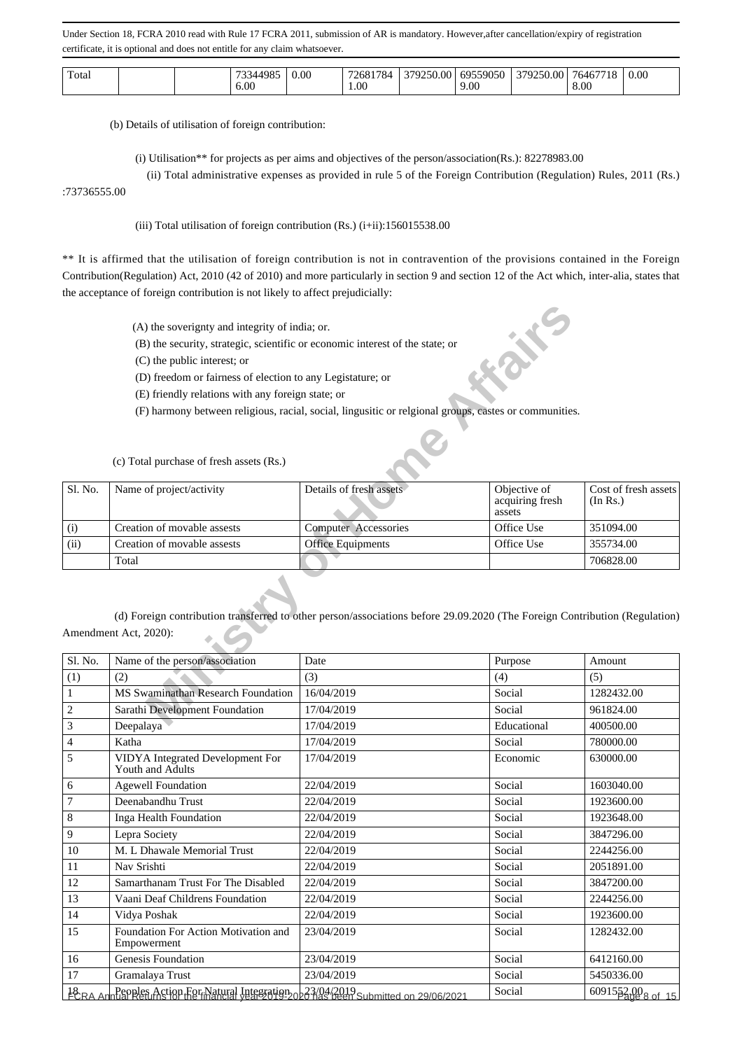| Total |  |  | 100 <sup>2</sup><br>76.<br>6.00 | $0.00\,$ | 1784<br>znx<br>1.00 | 379250<br>00. | 69559050<br>9.00 | .00.<br>27925<br>250.<br>◡ | '646'<br>8.00 | 0.00 |
|-------|--|--|---------------------------------|----------|---------------------|---------------|------------------|----------------------------|---------------|------|
|-------|--|--|---------------------------------|----------|---------------------|---------------|------------------|----------------------------|---------------|------|

(b) Details of utilisation of foreign contribution:

(i) Utilisation\*\* for projects as per aims and objectives of the person/association(Rs.): 82278983.00

(ii) Total administrative expenses as provided in rule 5 of the Foreign Contribution (Regulation) Rules, 2011 (Rs.)

### :73736555.00

(iii) Total utilisation of foreign contribution  $(Rs.)$  (i+ii):156015538.00

\*\* It is affirmed that the utilisation of foreign contribution is not in contravention of the provisions contained in the Foreign Contribution(Regulation) Act, 2010 (42 of 2010) and more particularly in section 9 and section 12 of the Act which, inter-alia, states that the acceptance of foreign contribution is not likely to affect prejudicially:

|                  | (A) the soverignty and integrity of india; or.                                |                                                                                                                            | EXIDENCE                                  |                                  |
|------------------|-------------------------------------------------------------------------------|----------------------------------------------------------------------------------------------------------------------------|-------------------------------------------|----------------------------------|
|                  | (B) the security, strategic, scientific or economic interest of the state; or |                                                                                                                            |                                           |                                  |
|                  | (C) the public interest; or                                                   |                                                                                                                            |                                           |                                  |
|                  | (D) freedom or fairness of election to any Legistature; or                    |                                                                                                                            |                                           |                                  |
|                  | (E) friendly relations with any foreign state; or                             |                                                                                                                            |                                           |                                  |
|                  |                                                                               | (F) harmony between religious, racial, social, lingusitic or relgional groups, eastes or communities.                      |                                           |                                  |
|                  |                                                                               |                                                                                                                            |                                           |                                  |
|                  | (c) Total purchase of fresh assets (Rs.)                                      |                                                                                                                            |                                           |                                  |
| Sl. No.          | Name of project/activity                                                      | Details of fresh assets                                                                                                    | Objective of<br>acquiring fresh<br>assets | Cost of fresh assets<br>(In Rs.) |
| (i)              | Creation of movable assests                                                   | <b>Computer Accessories</b>                                                                                                | Office Use                                | 351094.00                        |
| (ii)             | Creation of movable assests                                                   | <b>Office Equipments</b>                                                                                                   | Office Use                                | 355734.00                        |
|                  | Total                                                                         |                                                                                                                            |                                           | 706828.00                        |
|                  | Amendment Act, 2020):                                                         | (d) Foreign contribution transferred to other person/associations before 29.09.2020 (The Foreign Contribution (Regulation) |                                           |                                  |
|                  |                                                                               |                                                                                                                            |                                           |                                  |
| Sl. No.          | Name of the person/association                                                | Date                                                                                                                       | Purpose                                   | Amount                           |
| (1)              | (2)                                                                           | (3)                                                                                                                        | (4)                                       | (5)                              |
| $\mathbf{1}$     | MS Swaminathan Research Foundation                                            | 16/04/2019                                                                                                                 | Social                                    | 1282432.00                       |
| $\boldsymbol{2}$ | Sarathi Development Foundation                                                | 17/04/2019                                                                                                                 | Social                                    | 961824.00                        |
| $\mathbf{r}$     | Doopalaya                                                                     | 17/04/2010                                                                                                                 | Educational                               | 400500.00                        |

| Sl. No.        | Name of the person/association                                                       | Date       | Purpose     | Amount                        |
|----------------|--------------------------------------------------------------------------------------|------------|-------------|-------------------------------|
| (1)            | (2)                                                                                  | (3)        | (4)         | (5)                           |
| $\mathbf{1}$   | MS Swaminathan Research Foundation                                                   | 16/04/2019 | Social      | 1282432.00                    |
| $\mathbf{2}$   | Sarathi Development Foundation                                                       | 17/04/2019 | Social      | 961824.00                     |
| 3              | Deepalaya                                                                            | 17/04/2019 | Educational | 400500.00                     |
| 4              | Katha                                                                                | 17/04/2019 | Social      | 780000.00                     |
| 5              | VIDYA Integrated Development For<br>Youth and Adults                                 | 17/04/2019 | Economic    | 630000.00                     |
| 6              | <b>Agewell Foundation</b>                                                            | 22/04/2019 | Social      | 1603040.00                    |
| $\overline{7}$ | Deenabandhu Trust                                                                    | 22/04/2019 | Social      | 1923600.00                    |
| 8              | Inga Health Foundation                                                               | 22/04/2019 | Social      | 1923648.00                    |
| 9              | Lepra Society                                                                        | 22/04/2019 | Social      | 3847296.00                    |
| 10             | M. L Dhawale Memorial Trust                                                          | 22/04/2019 | Social      | 2244256.00                    |
| 11             | Nav Srishti                                                                          | 22/04/2019 | Social      | 2051891.00                    |
| 12             | Samarthanam Trust For The Disabled                                                   | 22/04/2019 | Social      | 3847200.00                    |
| 13             | Vaani Deaf Childrens Foundation                                                      | 22/04/2019 | Social      | 2244256.00                    |
| 14             | Vidya Poshak                                                                         | 22/04/2019 | Social      | 1923600.00                    |
| 15             | Foundation For Action Motivation and<br>Empowerment                                  | 23/04/2019 | Social      | 1282432.00                    |
| 16             | Genesis Foundation                                                                   | 23/04/2019 | Social      | 6412160.00                    |
| 17             | Gramalaya Trust                                                                      | 23/04/2019 | Social      | 5450336.00                    |
|                | 18 RA Annual Returnstion For Natural Integration 023/04/2019 Submitted on 29/06/2021 |            | Social      | 6091552.00 <sub>8</sub> of 15 |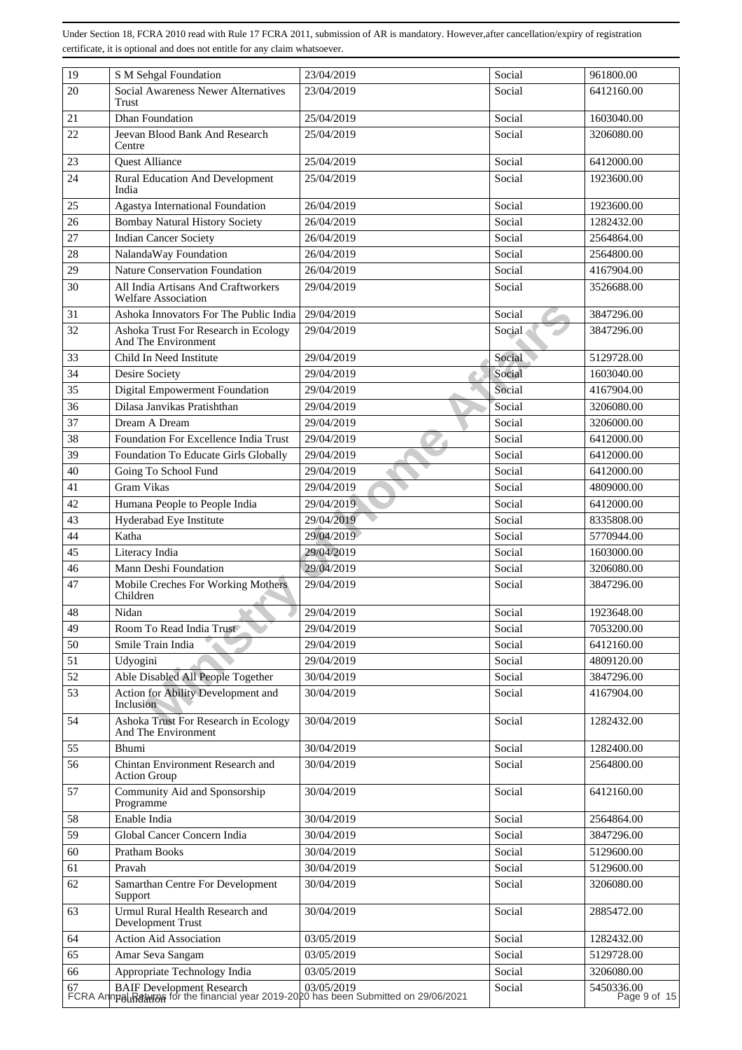| 19 | S M Sehgal Foundation                                                                                           | 23/04/2019 | Social | 961800.00                  |
|----|-----------------------------------------------------------------------------------------------------------------|------------|--------|----------------------------|
| 20 | <b>Social Awareness Newer Alternatives</b><br>Trust                                                             | 23/04/2019 | Social | 6412160.00                 |
| 21 | <b>Dhan Foundation</b>                                                                                          | 25/04/2019 | Social | 1603040.00                 |
| 22 | Jeevan Blood Bank And Research<br>Centre                                                                        | 25/04/2019 | Social | 3206080.00                 |
| 23 | <b>Quest Alliance</b>                                                                                           | 25/04/2019 | Social | 6412000.00                 |
| 24 | <b>Rural Education And Development</b><br>India                                                                 | 25/04/2019 | Social | 1923600.00                 |
| 25 | Agastya International Foundation                                                                                | 26/04/2019 | Social | 1923600.00                 |
| 26 | <b>Bombay Natural History Society</b>                                                                           | 26/04/2019 | Social | 1282432.00                 |
| 27 | <b>Indian Cancer Society</b>                                                                                    | 26/04/2019 | Social | 2564864.00                 |
| 28 | NalandaWay Foundation                                                                                           | 26/04/2019 | Social | 2564800.00                 |
| 29 | <b>Nature Conservation Foundation</b>                                                                           | 26/04/2019 | Social | 4167904.00                 |
| 30 | All India Artisans And Craftworkers<br><b>Welfare Association</b>                                               | 29/04/2019 | Social | 3526688.00                 |
| 31 | Ashoka Innovators For The Public India                                                                          | 29/04/2019 | Social | 3847296.00                 |
| 32 | Ashoka Trust For Research in Ecology<br>And The Environment                                                     | 29/04/2019 | Social | 3847296.00                 |
| 33 | Child In Need Institute                                                                                         | 29/04/2019 | Social | 5129728.00                 |
| 34 | Desire Society                                                                                                  | 29/04/2019 | Social | 1603040.00                 |
| 35 | <b>Digital Empowerment Foundation</b>                                                                           | 29/04/2019 | Social | 4167904.00                 |
| 36 | Dilasa Janvikas Pratishthan                                                                                     | 29/04/2019 | Social | 3206080.00                 |
| 37 | Dream A Dream                                                                                                   | 29/04/2019 | Social | 3206000.00                 |
| 38 | Foundation For Excellence India Trust                                                                           | 29/04/2019 | Social | 6412000.00                 |
| 39 | Foundation To Educate Girls Globally                                                                            | 29/04/2019 | Social | 6412000.00                 |
| 40 | Going To School Fund                                                                                            | 29/04/2019 | Social | 6412000.00                 |
| 41 | <b>Gram Vikas</b>                                                                                               | 29/04/2019 | Social | 4809000.00                 |
| 42 | Humana People to People India                                                                                   | 29/04/2019 | Social | 6412000.00                 |
| 43 | Hyderabad Eye Institute                                                                                         | 29/04/2019 | Social | 8335808.00                 |
| 44 | Katha                                                                                                           | 29/04/2019 | Social | 5770944.00                 |
| 45 | Literacy India                                                                                                  | 29/04/2019 | Social | 1603000.00                 |
| 46 | Mann Deshi Foundation                                                                                           | 29/04/2019 | Social | 3206080.00                 |
| 47 | Mobile Creches For Working Mothers<br>Children                                                                  | 29/04/2019 | Social | 3847296.00                 |
| 48 | Nidan                                                                                                           | 29/04/2019 | Social | 1923648.00                 |
| 49 | Room To Read India Trust                                                                                        | 29/04/2019 | Social | 7053200.00                 |
| 50 | Smile Train India                                                                                               | 29/04/2019 | Social | 6412160.00                 |
| 51 | Udyogini                                                                                                        | 29/04/2019 | Social | 4809120.00                 |
| 52 | Able Disabled All People Together                                                                               | 30/04/2019 | Social | 3847296.00                 |
| 53 | Action for Ability Development and<br>Inclusion                                                                 | 30/04/2019 | Social | 4167904.00                 |
| 54 | Ashoka Trust For Research in Ecology<br>And The Environment                                                     | 30/04/2019 | Social | 1282432.00                 |
| 55 | Bhumi                                                                                                           | 30/04/2019 | Social | 1282400.00                 |
| 56 | Chintan Environment Research and<br><b>Action Group</b>                                                         | 30/04/2019 | Social | 2564800.00                 |
| 57 | Community Aid and Sponsorship<br>Programme                                                                      | 30/04/2019 | Social | 6412160.00                 |
| 58 | Enable India                                                                                                    | 30/04/2019 | Social | 2564864.00                 |
| 59 | Global Cancer Concern India                                                                                     | 30/04/2019 | Social | 3847296.00                 |
| 60 | Pratham Books                                                                                                   | 30/04/2019 | Social | 5129600.00                 |
| 61 | Pravah                                                                                                          | 30/04/2019 | Social | 5129600.00                 |
| 62 | Samarthan Centre For Development<br>Support                                                                     | 30/04/2019 | Social | 3206080.00                 |
| 63 | Urmul Rural Health Research and<br>Development Trust                                                            | 30/04/2019 | Social | 2885472.00                 |
| 64 | <b>Action Aid Association</b>                                                                                   | 03/05/2019 | Social | 1282432.00                 |
| 65 | Amar Seva Sangam                                                                                                | 03/05/2019 | Social | 5129728.00                 |
| 66 | Appropriate Technology India                                                                                    | 03/05/2019 | Social | 3206080.00                 |
|    | BAIF Development Research 03/05/2019<br>FCRA Annu all Research 6 (03/05/2019) FCRA Annu all Research 19/06/2021 |            | Social | 5450336.00<br>Page 9 of 15 |
|    |                                                                                                                 |            |        |                            |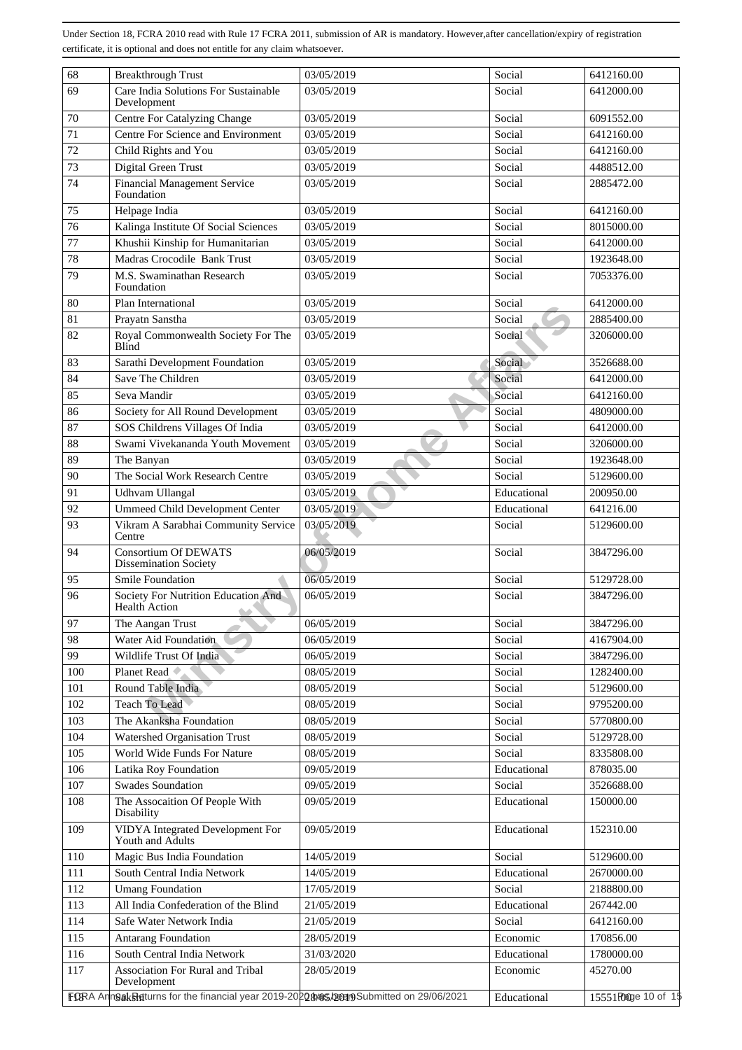| 68  | <b>Breakthrough Trust</b>                                                             | 03/05/2019 | Social      | 6412160.00          |
|-----|---------------------------------------------------------------------------------------|------------|-------------|---------------------|
| 69  | Care India Solutions For Sustainable<br>Development                                   | 03/05/2019 | Social      | 6412000.00          |
| 70  | <b>Centre For Catalyzing Change</b>                                                   | 03/05/2019 | Social      | 6091552.00          |
| 71  | Centre For Science and Environment                                                    | 03/05/2019 | Social      | 6412160.00          |
| 72  | Child Rights and You                                                                  | 03/05/2019 | Social      | 6412160.00          |
| 73  | Digital Green Trust                                                                   | 03/05/2019 | Social      | 4488512.00          |
| 74  | <b>Financial Management Service</b><br>Foundation                                     | 03/05/2019 | Social      | 2885472.00          |
| 75  | Helpage India                                                                         | 03/05/2019 | Social      | 6412160.00          |
| 76  | Kalinga Institute Of Social Sciences                                                  | 03/05/2019 | Social      | 8015000.00          |
| 77  | Khushii Kinship for Humanitarian                                                      | 03/05/2019 | Social      | 6412000.00          |
| 78  | Madras Crocodile Bank Trust                                                           | 03/05/2019 | Social      | 1923648.00          |
| 79  | M.S. Swaminathan Research<br>Foundation                                               | 03/05/2019 | Social      | 7053376.00          |
| 80  | Plan International                                                                    | 03/05/2019 | Social      | 6412000.00          |
| 81  | Prayatn Sanstha                                                                       | 03/05/2019 | Social      | 2885400.00          |
| 82  | Royal Commonwealth Society For The                                                    | 03/05/2019 | Social      | 3206000.00          |
|     | <b>Blind</b>                                                                          |            |             |                     |
| 83  | Sarathi Development Foundation                                                        | 03/05/2019 | Social      | 3526688.00          |
| 84  | Save The Children                                                                     | 03/05/2019 | Social      | 6412000.00          |
| 85  | Seva Mandir                                                                           | 03/05/2019 | Social      | 6412160.00          |
| 86  | Society for All Round Development                                                     | 03/05/2019 | Social      | 4809000.00          |
| 87  | SOS Childrens Villages Of India                                                       | 03/05/2019 | Social      | 6412000.00          |
| 88  | Swami Vivekananda Youth Movement                                                      | 03/05/2019 | Social      | 3206000.00          |
| 89  | The Banyan                                                                            | 03/05/2019 | Social      | 1923648.00          |
| 90  | The Social Work Research Centre                                                       | 03/05/2019 | Social      | 5129600.00          |
| 91  | Udhvam Ullangal                                                                       | 03/05/2019 | Educational | 200950.00           |
| 92  | <b>Ummeed Child Development Center</b>                                                | 03/05/2019 | Educational | 641216.00           |
| 93  | Vikram A Sarabhai Community Service<br>Centre                                         | 03/05/2019 | Social      | 5129600.00          |
| 94  | <b>Consortium Of DEWATS</b><br><b>Dissemination Society</b>                           | 06/05/2019 | Social      | 3847296.00          |
| 95  | Smile Foundation                                                                      | 06/05/2019 | Social      | 5129728.00          |
| 96  | Society For Nutrition Education And<br><b>Health Action</b>                           | 06/05/2019 | Social      | 3847296.00          |
| 97  | The Aangan Trust                                                                      | 06/05/2019 | Social      | 3847296.00          |
| 98  | Water Aid Foundation                                                                  | 06/05/2019 | Social      | 4167904.00          |
| 99  | Wildlife Trust Of India                                                               | 06/05/2019 | Social      | 3847296.00          |
| 100 | Planet Read                                                                           | 08/05/2019 | Social      | 1282400.00          |
| 101 | Round Table India                                                                     | 08/05/2019 | Social      | 5129600.00          |
| 102 | <b>Teach To Lead</b>                                                                  | 08/05/2019 | Social      | 9795200.00          |
| 103 | The Akanksha Foundation                                                               | 08/05/2019 | Social      | 5770800.00          |
| 104 | Watershed Organisation Trust                                                          | 08/05/2019 | Social      | 5129728.00          |
| 105 | World Wide Funds For Nature                                                           | 08/05/2019 | Social      | 8335808.00          |
| 106 | Latika Roy Foundation                                                                 | 09/05/2019 | Educational | 878035.00           |
| 107 | <b>Swades Soundation</b>                                                              | 09/05/2019 | Social      | 3526688.00          |
| 108 | The Assocaition Of People With<br>Disability                                          | 09/05/2019 | Educational | 150000.00           |
| 109 | VIDYA Integrated Development For<br>Youth and Adults                                  | 09/05/2019 | Educational | 152310.00           |
| 110 | Magic Bus India Foundation                                                            | 14/05/2019 | Social      | 5129600.00          |
| 111 | South Central India Network                                                           | 14/05/2019 | Educational | 2670000.00          |
| 112 | <b>Umang Foundation</b>                                                               | 17/05/2019 | Social      | 2188800.00          |
| 113 | All India Confederation of the Blind                                                  | 21/05/2019 | Educational | 267442.00           |
| 114 | Safe Water Network India                                                              | 21/05/2019 | Social      | 6412160.00          |
| 115 | <b>Antarang Foundation</b>                                                            | 28/05/2019 | Economic    | 170856.00           |
| 116 | South Central India Network                                                           | 31/03/2020 | Educational | 1780000.00          |
| 117 | Association For Rural and Tribal<br>Development                                       | 28/05/2019 | Economic    | 45270.00            |
|     | FORA AnnOakReturns for the financial year 2019-2020 2005 been Submitted on 29/06/2021 |            | Educational | 15551 Roge 10 of 15 |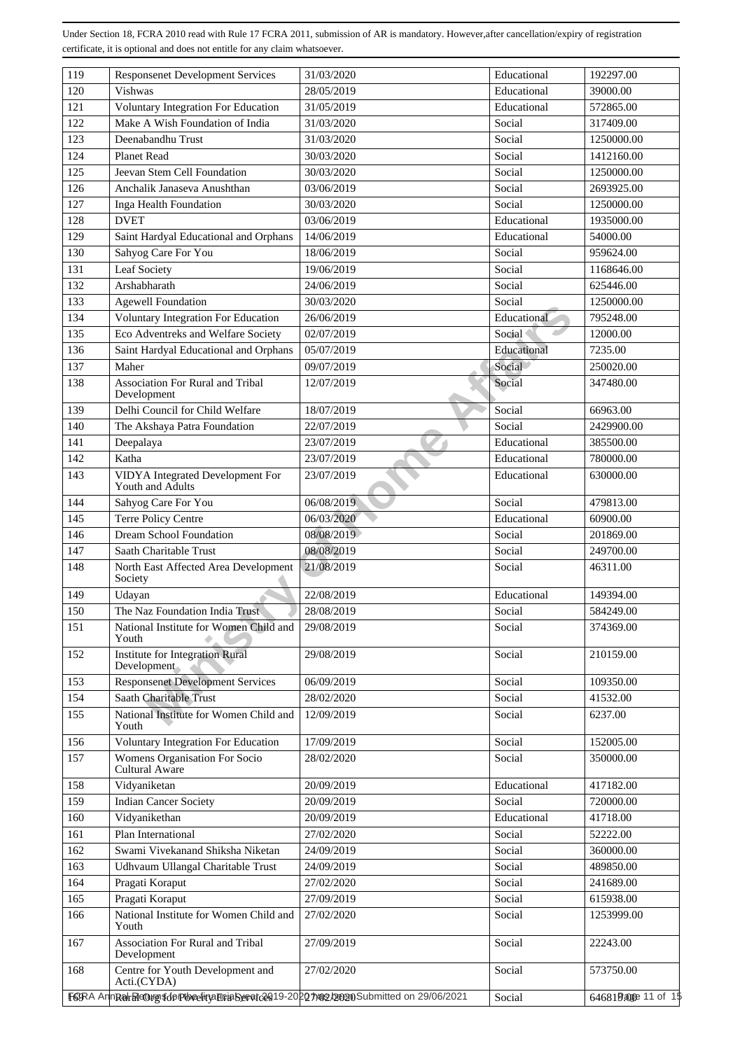| 119 | <b>Responsenet Development Services</b>                                             | 31/03/2020 | Educational | 192297.00             |
|-----|-------------------------------------------------------------------------------------|------------|-------------|-----------------------|
| 120 | <b>Vishwas</b>                                                                      | 28/05/2019 | Educational | 39000.00              |
| 121 | Voluntary Integration For Education                                                 | 31/05/2019 | Educational | 572865.00             |
| 122 | Make A Wish Foundation of India                                                     | 31/03/2020 | Social      | 317409.00             |
| 123 | Deenabandhu Trust                                                                   | 31/03/2020 | Social      | 1250000.00            |
| 124 | <b>Planet Read</b>                                                                  | 30/03/2020 | Social      | 1412160.00            |
| 125 | Jeevan Stem Cell Foundation                                                         | 30/03/2020 | Social      | 1250000.00            |
| 126 | Anchalik Janaseva Anushthan                                                         | 03/06/2019 | Social      | 2693925.00            |
| 127 | Inga Health Foundation                                                              | 30/03/2020 | Social      | 1250000.00            |
| 128 | <b>DVET</b>                                                                         | 03/06/2019 | Educational | 1935000.00            |
| 129 | Saint Hardyal Educational and Orphans                                               | 14/06/2019 | Educational | 54000.00              |
| 130 | Sahyog Care For You                                                                 | 18/06/2019 | Social      | 959624.00             |
| 131 | Leaf Society                                                                        | 19/06/2019 | Social      | 1168646.00            |
| 132 | Arshabharath                                                                        | 24/06/2019 | Social      | 625446.00             |
| 133 | <b>Agewell Foundation</b>                                                           | 30/03/2020 | Social      | 1250000.00            |
| 134 | <b>Voluntary Integration For Education</b>                                          | 26/06/2019 | Educational | 795248.00             |
| 135 | Eco Adventreks and Welfare Society                                                  | 02/07/2019 | Social      | 12000.00              |
| 136 | Saint Hardyal Educational and Orphans                                               | 05/07/2019 | Educational | 7235.00               |
| 137 | Maher                                                                               | 09/07/2019 | Social      | 250020.00             |
| 138 | Association For Rural and Tribal<br>Development                                     | 12/07/2019 | Social      | 347480.00             |
| 139 | Delhi Council for Child Welfare                                                     | 18/07/2019 | Social      | 66963.00              |
| 140 | The Akshaya Patra Foundation                                                        | 22/07/2019 | Social      | 2429900.00            |
| 141 | Deepalaya                                                                           | 23/07/2019 | Educational | 385500.00             |
| 142 | Katha                                                                               | 23/07/2019 | Educational | 780000.00             |
| 143 | VIDYA Integrated Development For                                                    | 23/07/2019 | Educational | 630000.00             |
|     | Youth and Adults                                                                    |            |             |                       |
| 144 | Sahyog Care For You                                                                 | 06/08/2019 | Social      | 479813.00             |
| 145 | Terre Policy Centre                                                                 | 06/03/2020 | Educational | 60900.00              |
| 146 | Dream School Foundation                                                             | 08/08/2019 | Social      | 201869.00             |
| 147 | Saath Charitable Trust                                                              | 08/08/2019 | Social      | 249700.00             |
| 148 | North East Affected Area Development<br>Society                                     | 21/08/2019 | Social      | 46311.00              |
| 149 | Udayan                                                                              | 22/08/2019 | Educational | 149394.00             |
| 150 | The Naz Foundation India Trust                                                      | 28/08/2019 | Social      | 584249.00             |
| 151 | National Institute for Women Child and<br>Youth                                     | 29/08/2019 | Social      | 374369.00             |
| 152 | <b>Institute for Integration Rural</b><br>Development                               | 29/08/2019 | Social      | 210159.00             |
| 153 | <b>Responsenet Development Services</b>                                             | 06/09/2019 | Social      | 109350.00             |
| 154 | Saath Charitable Trust                                                              | 28/02/2020 | Social      | 41532.00              |
| 155 | National Institute for Women Child and                                              | 12/09/2019 | Social      | 6237.00               |
|     | Youth                                                                               |            |             |                       |
| 156 | <b>Voluntary Integration For Education</b>                                          | 17/09/2019 | Social      | 152005.00             |
| 157 | Womens Organisation For Socio<br>Cultural Aware                                     | 28/02/2020 | Social      | 350000.00             |
| 158 | Vidyaniketan                                                                        | 20/09/2019 | Educational | 417182.00             |
| 159 | <b>Indian Cancer Society</b>                                                        | 20/09/2019 | Social      | 720000.00             |
| 160 | Vidyanikethan                                                                       | 20/09/2019 | Educational | 41718.00              |
| 161 | Plan International                                                                  | 27/02/2020 | Social      | 52222.00              |
| 162 | Swami Vivekanand Shiksha Niketan                                                    | 24/09/2019 | Social      | 360000.00             |
| 163 | Udhvaum Ullangal Charitable Trust                                                   | 24/09/2019 | Social      | 489850.00             |
| 164 | Pragati Koraput                                                                     | 27/02/2020 | Social      | 241689.00             |
| 165 | Pragati Koraput                                                                     | 27/09/2019 | Social      | 615938.00             |
| 166 | National Institute for Women Child and                                              | 27/02/2020 | Social      | 1253999.00            |
|     | Youth                                                                               |            |             |                       |
| 167 | Association For Rural and Tribal<br>Development                                     | 27/09/2019 | Social      | 22243.00              |
| 168 | Centre for Youth Development and<br>Acti.(CYDA)                                     | 27/02/2020 | Social      | 573750.00             |
|     | F6RA AnnRahReOurg \$6pPbeefinaBriaSyeratc2019-20207/02/20020Submitted on 29/06/2021 |            | Social      | 6468199000e 11 of 1\$ |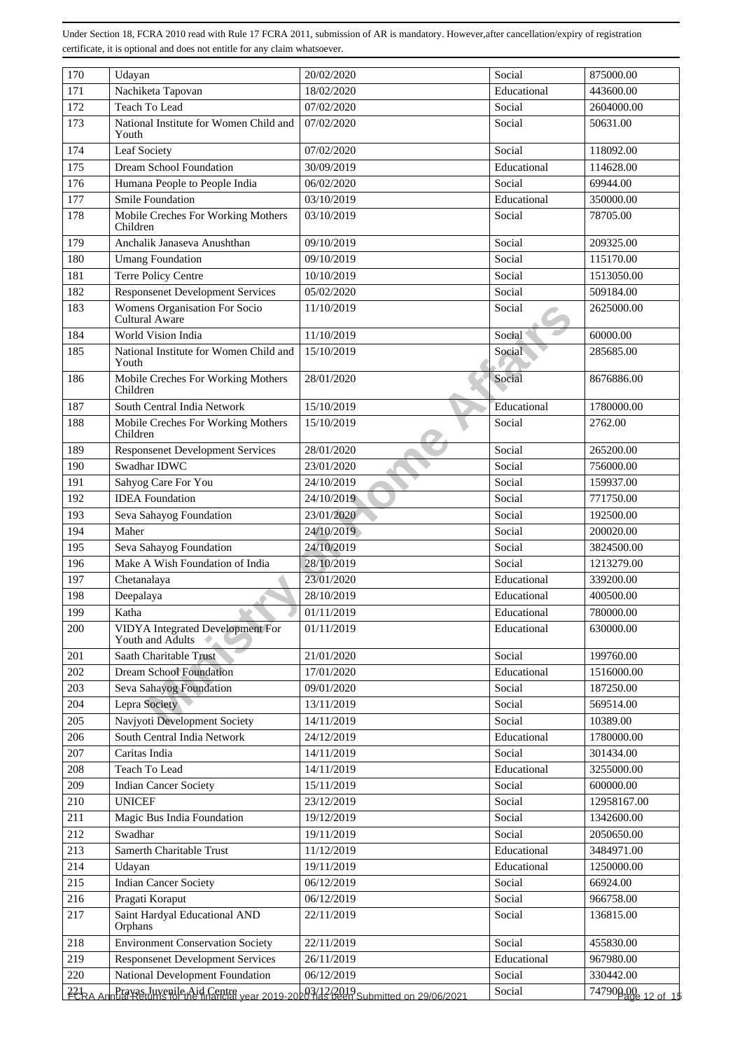| 170        | Udayan                                                                                                       | 20/02/2020               | Social                | 875000.00                |
|------------|--------------------------------------------------------------------------------------------------------------|--------------------------|-----------------------|--------------------------|
| 171        | Nachiketa Tapovan                                                                                            | 18/02/2020               | Educational           | 443600.00                |
| 172        | Teach To Lead                                                                                                | 07/02/2020               | Social                | 2604000.00               |
| 173        | National Institute for Women Child and<br>Youth                                                              | 07/02/2020               | Social                | 50631.00                 |
| 174        | Leaf Society                                                                                                 | 07/02/2020               | Social                | 118092.00                |
| 175        | <b>Dream School Foundation</b>                                                                               | 30/09/2019               | Educational           | 114628.00                |
| 176        | Humana People to People India                                                                                | 06/02/2020               | Social                | 69944.00                 |
| 177        | <b>Smile Foundation</b>                                                                                      | 03/10/2019               | Educational           | 350000.00                |
| 178        | Mobile Creches For Working Mothers<br>Children                                                               | 03/10/2019               | Social                | 78705.00                 |
| 179        | Anchalik Janaseva Anushthan                                                                                  | 09/10/2019               | Social                | 209325.00                |
| 180        | <b>Umang Foundation</b>                                                                                      | 09/10/2019               | Social                | 115170.00                |
| 181        | Terre Policy Centre                                                                                          | 10/10/2019               | Social                | 1513050.00               |
| 182        | <b>Responsenet Development Services</b>                                                                      | 05/02/2020               | Social                | 509184.00                |
| 183        | Womens Organisation For Socio<br>Cultural Aware                                                              | 11/10/2019               | Social                | 2625000.00               |
| 184        | World Vision India                                                                                           | 11/10/2019               | Social                | 60000.00                 |
| 185        | National Institute for Women Child and<br>Youth                                                              | 15/10/2019               | Social                | 285685.00                |
| 186        | Mobile Creches For Working Mothers<br>Children                                                               | 28/01/2020               | Social                | 8676886.00               |
| 187        | South Central India Network                                                                                  | 15/10/2019               | Educational           | 1780000.00               |
| 188        | Mobile Creches For Working Mothers<br>Children                                                               | 15/10/2019               | Social                | 2762.00                  |
| 189        | <b>Responsenet Development Services</b>                                                                      | 28/01/2020               | Social                | 265200.00                |
| 190        | Swadhar IDWC                                                                                                 | 23/01/2020               | Social                | 756000.00                |
| 191        | Sahyog Care For You                                                                                          | 24/10/2019               | Social                | 159937.00                |
| 192        | <b>IDEA</b> Foundation                                                                                       | 24/10/2019               | Social                | 771750.00                |
| 193        | Seva Sahayog Foundation                                                                                      | 23/01/2020               | Social                | 192500.00                |
| 194        | Maher                                                                                                        | 24/10/2019               | Social                | 200020.00                |
| 195        | Seva Sahayog Foundation                                                                                      | 24/10/2019               | Social                | 3824500.00               |
| 196        | Make A Wish Foundation of India                                                                              | 28/10/2019               | Social                | 1213279.00               |
| 197        | Chetanalaya                                                                                                  | 23/01/2020               | Educational           | 339200.00                |
| 198        | Deepalaya                                                                                                    | 28/10/2019               | Educational           | 400500.00                |
| 199        | Katha                                                                                                        | 01/11/2019               | Educational           | 780000.00                |
| 200        | <b>VIDYA</b> Integrated Development For<br>Youth and Adults                                                  | 01/11/2019               | Educational           | 630000.00                |
| 201        | Saath Charitable Trust                                                                                       | 21/01/2020               | Social                | 199760.00                |
| 202        | <b>Dream School Foundation</b>                                                                               | 17/01/2020               | Educational           | 1516000.00               |
| 203        | Seva Sahayog Foundation                                                                                      | 09/01/2020               | Social                | 187250.00                |
| 204        | Lepra Society                                                                                                | 13/11/2019               | Social                | 569514.00                |
| 205        | Navjyoti Development Society                                                                                 | 14/11/2019               | Social                | 10389.00                 |
| 206        | South Central India Network                                                                                  | 24/12/2019               | Educational           | 1780000.00               |
| 207        | Caritas India                                                                                                | 14/11/2019               | Social<br>Educational | 301434.00                |
| 208        | Teach To Lead                                                                                                | 14/11/2019               |                       | 3255000.00               |
| 209<br>210 | <b>Indian Cancer Society</b><br><b>UNICEF</b>                                                                | 15/11/2019<br>23/12/2019 | Social<br>Social      | 600000.00<br>12958167.00 |
| 211        | Magic Bus India Foundation                                                                                   | 19/12/2019               | Social                | 1342600.00               |
| 212        | Swadhar                                                                                                      | 19/11/2019               | Social                | 2050650.00               |
| 213        | Samerth Charitable Trust                                                                                     | 11/12/2019               | Educational           | 3484971.00               |
| 214        | Udayan                                                                                                       | 19/11/2019               | Educational           | 1250000.00               |
| 215        | <b>Indian Cancer Society</b>                                                                                 | 06/12/2019               | Social                | 66924.00                 |
| 216        | Pragati Koraput                                                                                              | 06/12/2019               | Social                | 966758.00                |
| 217        | Saint Hardyal Educational AND<br>Orphans                                                                     | 22/11/2019               | Social                | 136815.00                |
| 218        | <b>Environment Conservation Society</b>                                                                      | 22/11/2019               | Social                | 455830.00                |
| 219        | <b>Responsenet Development Services</b>                                                                      | 26/11/2019               | Educational           | 967980.00                |
| 220        | National Development Foundation                                                                              | 06/12/2019               | Social                | 330442.00                |
| 72RAA      | Prayas Juvenile Aid Centre<br>Juai Returns for the financial year 2019-2020 Has been Submitted on 29/06/2021 |                          | Social                | 747900 00 12 of 15       |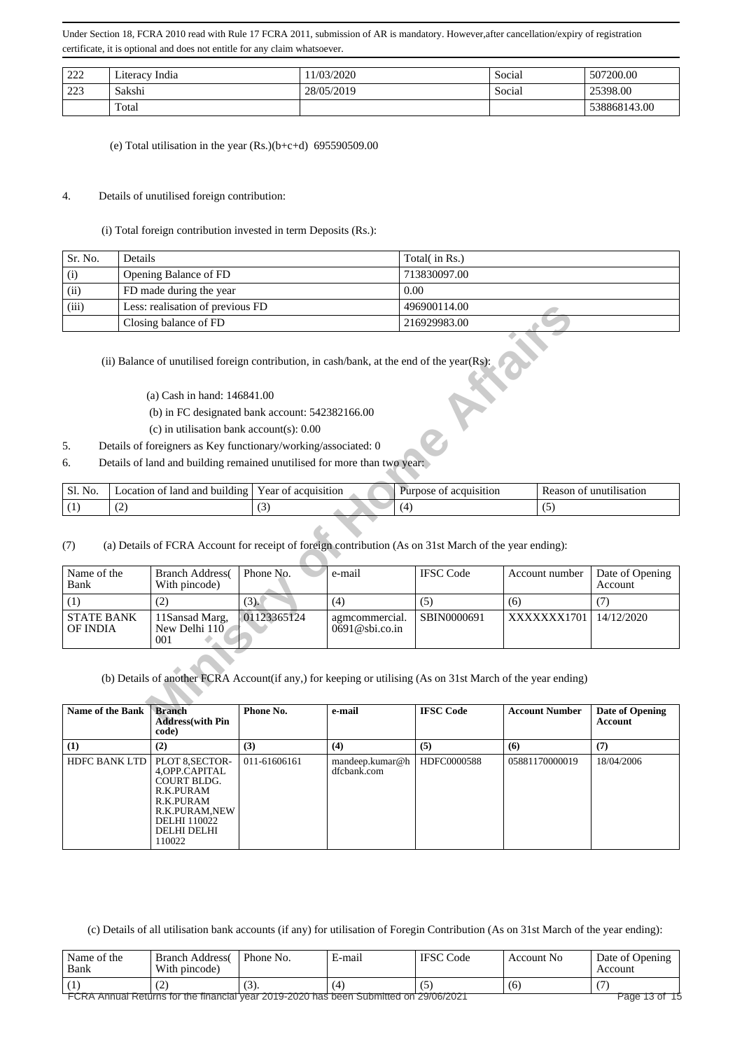| 222        | Literacy India | 1/03/2020  | Social | 507200.00    |
|------------|----------------|------------|--------|--------------|
| 223<br>دعد | Sakshi         | 28/05/2019 | Social | 25398.00     |
|            | Total          |            |        | 538868143.00 |

(e) Total utilisation in the year  $(Rs.)(b+c+d)$  695590509.00

## 4. Details of unutilised foreign contribution:

(i) Total foreign contribution invested in term Deposits (Rs.):

| Sr. No. | Details                          | Total( in Rs.) |
|---------|----------------------------------|----------------|
| (i)     | Opening Balance of FD            | 713830097.00   |
| (ii)    | FD made during the year          | 0.00           |
| (iii)   | Less: realisation of previous FD | 496900114.00   |
|         | Closing balance of FD            | 216929983.00   |

- (a) Cash in hand: 146841.00
- (b) in FC designated bank account: 542382166.00
- (c) in utilisation bank account(s): 0.00
- 5. Details of foreigners as Key functionary/working/associated: 0
- 6. Details of land and building remained unutilised for more than two year:

| Sl. N<br>No. | ⊺land<br>and<br>. building<br>ocation<br>0T | r ear<br>acquisition<br>ОI | acquisition<br>pose.<br>ΩŤ | unutilisation<br>sor<br>$^{\prime}$ |
|--------------|---------------------------------------------|----------------------------|----------------------------|-------------------------------------|
| . .          | $\sim$                                      | $\sim$                     |                            |                                     |

| (iii)                                |                                                                                                             | Less: realisation of previous FD                                                                                                                                                                                                                                           |                     |                                     | 496900114.00                                                                                                               |     |                       |                                   |  |
|--------------------------------------|-------------------------------------------------------------------------------------------------------------|----------------------------------------------------------------------------------------------------------------------------------------------------------------------------------------------------------------------------------------------------------------------------|---------------------|-------------------------------------|----------------------------------------------------------------------------------------------------------------------------|-----|-----------------------|-----------------------------------|--|
|                                      |                                                                                                             | Closing balance of FD                                                                                                                                                                                                                                                      |                     |                                     | 216929983.00                                                                                                               |     |                       |                                   |  |
| 5.<br>6.                             |                                                                                                             | (a) Cash in hand: 146841.00<br>(b) in FC designated bank account: 542382166.00<br>(c) in utilisation bank account(s): $0.00$<br>Details of foreigners as Key functionary/working/associated: 0<br>Details of land and building remained unutilised for more than two year: |                     |                                     | (ii) Balance of unutilised foreign contribution, in cash/bank, at the end of the year(Rs):                                 |     |                       |                                   |  |
| Sl. No.                              |                                                                                                             | Location of land and building                                                                                                                                                                                                                                              | Year of acquisition |                                     | Purpose of acquisition                                                                                                     |     |                       | Reason of unutilisation           |  |
| (1)                                  | (2)                                                                                                         |                                                                                                                                                                                                                                                                            | (3)                 | (4)                                 |                                                                                                                            |     | (5)                   |                                   |  |
| (7)<br>Name of the                   |                                                                                                             | <b>Branch Address(</b>                                                                                                                                                                                                                                                     | Phone No.           | e-mail                              | (a) Details of FCRA Account for receipt of foreign contribution (As on 31st March of the year ending):<br><b>IFSC Code</b> |     | Account number        | Date of Opening                   |  |
| Bank                                 |                                                                                                             | With pincode)                                                                                                                                                                                                                                                              |                     |                                     |                                                                                                                            |     |                       | Account                           |  |
| (1)                                  |                                                                                                             | (2)                                                                                                                                                                                                                                                                        | (3).                | (4)                                 | (5)                                                                                                                        | (6) |                       | (7)                               |  |
| <b>STATE BANK</b><br><b>OF INDIA</b> |                                                                                                             | 11Sansad Marg,<br>New Delhi 110<br>001                                                                                                                                                                                                                                     | 01123365124         | agmcommercial.<br>$0691@$ sbi.co.in | SBIN0000691                                                                                                                |     | XXXXXXX1701           | 14/12/2020                        |  |
|                                      | (b) Details of another FCRA Account(if any,) for keeping or utilising (As on 31st March of the year ending) |                                                                                                                                                                                                                                                                            |                     |                                     |                                                                                                                            |     |                       |                                   |  |
| Name of the Bank                     |                                                                                                             | <b>Branch</b><br><b>Address</b> (with Pin                                                                                                                                                                                                                                  | Phone No.           | e-mail                              | <b>IFSC Code</b>                                                                                                           |     | <b>Account Number</b> | <b>Date of Opening</b><br>Account |  |

| <b>Name of the Bank</b> | <b>Branch</b><br><b>Address</b> (with Pin<br>code)                                                                                                  | Phone No.    | e-mail                         | <b>IFSC Code</b> | <b>Account Number</b> | Date of Opening<br>Account |
|-------------------------|-----------------------------------------------------------------------------------------------------------------------------------------------------|--------------|--------------------------------|------------------|-----------------------|----------------------------|
| (1)                     | (2)                                                                                                                                                 | (3)          | (4)                            | (5)              | (6)                   | (7)                        |
| <b>HDFC BANK LTD</b>    | PLOT 8, SECTOR-<br>4, OPP. CAPITAL<br><b>COURT BLDG.</b><br>R.K.PURAM<br>R.K.PURAM<br>R.K.PURAM,NEW<br><b>DELHI</b> 110022<br>DELHI DELHI<br>110022 | 011-61606161 | mandeep.kumar@h<br>dfcbank.com | HDFC0000588      | 05881170000019        | 18/04/2006                 |

(c) Details of all utilisation bank accounts (if any) for utilisation of Foregin Contribution (As on 31st March of the year ending):

| Name of the<br>Bank                                                                                    | <b>Branch Address</b><br>With pincode) | Phone No. | E-mail | <b>IFSC</b> Code | Account No | Date of Opening<br>Account |  |
|--------------------------------------------------------------------------------------------------------|----------------------------------------|-----------|--------|------------------|------------|----------------------------|--|
|                                                                                                        |                                        |           |        |                  | (6         |                            |  |
| Page 13 of 15<br>FCRA Annual Returns for the financial year 2019-2020 has been Submitted on 29/06/2021 |                                        |           |        |                  |            |                            |  |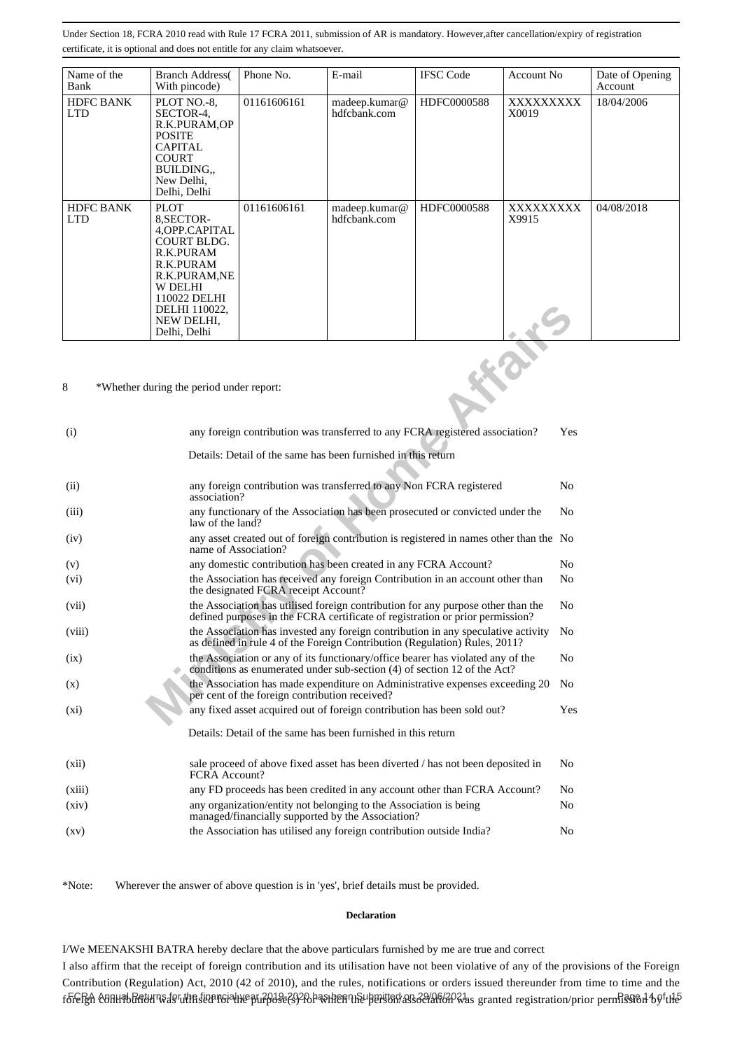| Name of the<br>Bank            | <b>Branch Address</b><br>With pincode)                                                                                                                                                 | Phone No.   | E-mail                        | <b>IFSC Code</b> | Account No.       | Date of Opening<br>Account |
|--------------------------------|----------------------------------------------------------------------------------------------------------------------------------------------------------------------------------------|-------------|-------------------------------|------------------|-------------------|----------------------------|
| <b>HDFC BANK</b><br><b>LTD</b> | PLOT NO.-8.<br>SECTOR-4.<br>R.K.PURAM,OP<br><b>POSITE</b><br><b>CAPITAL</b><br><b>COURT</b><br>BUILDING<br>New Delhi,<br>Delhi, Delhi                                                  | 01161606161 | madeep.kumar@<br>hdfcbank.com | HDFC0000588      | XXXXXXXX<br>X0019 | 18/04/2006                 |
| <b>HDFC BANK</b><br><b>LTD</b> | <b>PLOT</b><br>8.SECTOR-<br>4, OPP. CAPITAL<br><b>COURT BLDG.</b><br>R.K.PURAM<br>R.K.PURAM<br>R.K.PURAM, NE<br>W DELHI<br>110022 DELHI<br>DELHI 110022,<br>NEW DELHI.<br>Delhi, Delhi | 01161606161 | madeep.kumar@<br>hdfcbank.com | HDFC0000588      | XXXXXXXX<br>X9915 | 04/08/2018                 |

|                    |                                                                                                                                                             | DELHI 110022,<br>NEW DELHI.<br>Delhi, Delhi                                                                                                                     |                                                                                                                                                                                     |                                                                                 |  |  |                |
|--------------------|-------------------------------------------------------------------------------------------------------------------------------------------------------------|-----------------------------------------------------------------------------------------------------------------------------------------------------------------|-------------------------------------------------------------------------------------------------------------------------------------------------------------------------------------|---------------------------------------------------------------------------------|--|--|----------------|
| 8                  |                                                                                                                                                             | *Whether during the period under report:                                                                                                                        |                                                                                                                                                                                     |                                                                                 |  |  |                |
| (i)                |                                                                                                                                                             | any foreign contribution was transferred to any FCRA registered association?                                                                                    |                                                                                                                                                                                     |                                                                                 |  |  |                |
|                    | Details: Detail of the same has been furnished in this return                                                                                               |                                                                                                                                                                 |                                                                                                                                                                                     |                                                                                 |  |  |                |
| (ii)               | any foreign contribution was transferred to any Non FCRA registered<br>association?                                                                         |                                                                                                                                                                 |                                                                                                                                                                                     |                                                                                 |  |  | N <sub>0</sub> |
| (iii)              |                                                                                                                                                             | any functionary of the Association has been prosecuted or convicted under the<br>N <sub>0</sub><br>law of the land?                                             |                                                                                                                                                                                     |                                                                                 |  |  |                |
| (iv)               | any asset created out of foreign contribution is registered in names other than the No<br>name of Association?                                              |                                                                                                                                                                 |                                                                                                                                                                                     |                                                                                 |  |  |                |
| (v)                |                                                                                                                                                             |                                                                                                                                                                 | any domestic contribution has been created in any FCRA Account?<br>No                                                                                                               |                                                                                 |  |  |                |
| (v <sub>i</sub> )  |                                                                                                                                                             | the Association has received any foreign Contribution in an account other than<br>the designated FCRA receipt Account?                                          |                                                                                                                                                                                     |                                                                                 |  |  | N <sub>0</sub> |
| (vii)              |                                                                                                                                                             |                                                                                                                                                                 | the Association has utilised foreign contribution for any purpose other than the<br>N <sub>0</sub><br>defined purposes in the FCRA certificate of registration or prior permission? |                                                                                 |  |  |                |
| (viii)             |                                                                                                                                                             | the Association has invested any foreign contribution in any speculative activity<br>as defined in rule 4 of the Foreign Contribution (Regulation) Rules, 2011? |                                                                                                                                                                                     |                                                                                 |  |  |                |
| (ix)               | the Association or any of its functionary/office bearer has violated any of the<br>conditions as enumerated under sub-section (4) of section 12 of the Act? |                                                                                                                                                                 |                                                                                                                                                                                     |                                                                                 |  |  | No             |
| (x)                |                                                                                                                                                             |                                                                                                                                                                 | per cent of the foreign contribution received?                                                                                                                                      | the Association has made expenditure on Administrative expenses exceeding 20    |  |  | No             |
| $(x_i)$            |                                                                                                                                                             |                                                                                                                                                                 |                                                                                                                                                                                     | any fixed asset acquired out of foreign contribution has been sold out?         |  |  | Yes            |
|                    |                                                                                                                                                             |                                                                                                                                                                 |                                                                                                                                                                                     | Details: Detail of the same has been furnished in this return                   |  |  |                |
| (xii)              |                                                                                                                                                             | FCRA Account?                                                                                                                                                   |                                                                                                                                                                                     | sale proceed of above fixed asset has been diverted / has not been deposited in |  |  | N <sub>0</sub> |
| (xiii)             |                                                                                                                                                             | any FD proceeds has been credited in any account other than FCRA Account?                                                                                       |                                                                                                                                                                                     |                                                                                 |  |  | No             |
| (xiv)              | any organization/entity not belonging to the Association is being<br>managed/financially supported by the Association?                                      |                                                                                                                                                                 |                                                                                                                                                                                     |                                                                                 |  |  | No             |
| $\left( xy\right)$ |                                                                                                                                                             |                                                                                                                                                                 |                                                                                                                                                                                     | the Association has utilised any foreign contribution outside India?            |  |  | No             |

\*Note: Wherever the answer of above question is in 'yes', brief details must be provided.

#### **Declaration**

I/We MEENAKSHI BATRA hereby declare that the above particulars furnished by me are true and correct

I also affirm that the receipt of foreign contribution and its utilisation have not been violative of any of the provisions of the Foreign Contribution (Regulation) Act, 2010 (42 of 2010), and the rules, notifications or orders issued thereunder from time to time and the foFeRA conunbunturn de utm sternoidhe pu?p3se?s92br&hemherh&perston ass3e/af66P&1as granted registration/prior permiss16.1 b9<sup>f</sup>th5